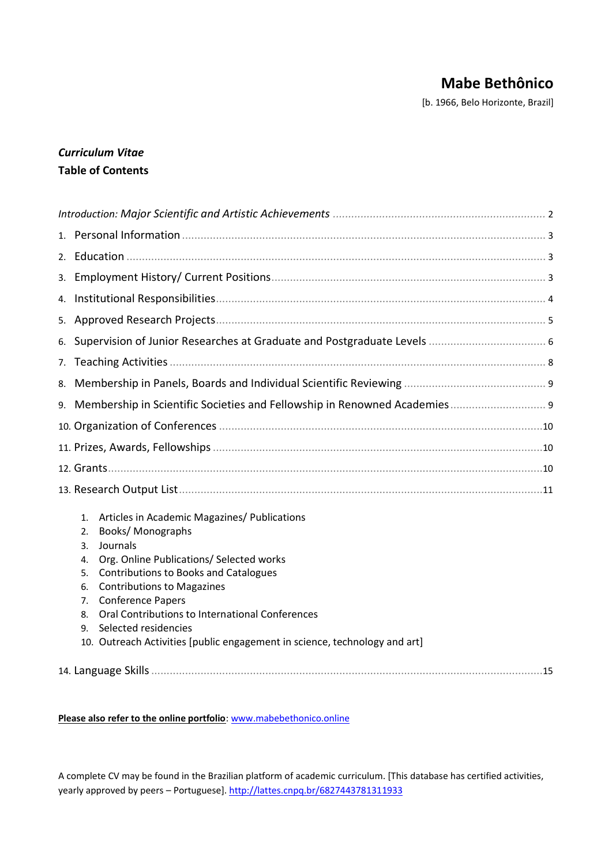# **Mabe Bethônico**

[b. 1966, Belo Horizonte, Brazil]

## *Curriculum Vitae* **Table of Contents**

| 3. |                                                    |                                                                                                                                                                                                                                                                                                                                                                                                    |  |  |  |
|----|----------------------------------------------------|----------------------------------------------------------------------------------------------------------------------------------------------------------------------------------------------------------------------------------------------------------------------------------------------------------------------------------------------------------------------------------------------------|--|--|--|
| 4. |                                                    |                                                                                                                                                                                                                                                                                                                                                                                                    |  |  |  |
|    |                                                    |                                                                                                                                                                                                                                                                                                                                                                                                    |  |  |  |
| 6. |                                                    |                                                                                                                                                                                                                                                                                                                                                                                                    |  |  |  |
| 7. |                                                    |                                                                                                                                                                                                                                                                                                                                                                                                    |  |  |  |
| 8. |                                                    |                                                                                                                                                                                                                                                                                                                                                                                                    |  |  |  |
|    |                                                    |                                                                                                                                                                                                                                                                                                                                                                                                    |  |  |  |
|    |                                                    |                                                                                                                                                                                                                                                                                                                                                                                                    |  |  |  |
|    |                                                    |                                                                                                                                                                                                                                                                                                                                                                                                    |  |  |  |
|    |                                                    |                                                                                                                                                                                                                                                                                                                                                                                                    |  |  |  |
|    |                                                    |                                                                                                                                                                                                                                                                                                                                                                                                    |  |  |  |
|    | 1.<br>2.<br>3.<br>4.<br>5.<br>6.<br>7.<br>8.<br>9. | Articles in Academic Magazines/ Publications<br>Books/Monographs<br>Journals<br>Org. Online Publications/ Selected works<br><b>Contributions to Books and Catalogues</b><br><b>Contributions to Magazines</b><br><b>Conference Papers</b><br>Oral Contributions to International Conferences<br>Selected residencies<br>10. Outreach Activities [public engagement in science, technology and art] |  |  |  |
|    |                                                    |                                                                                                                                                                                                                                                                                                                                                                                                    |  |  |  |

#### **Please also refer to the online portfolio**[: www.mabebethonico.online](http://www.mabebethonico.online/)

A complete CV may be found in the Brazilian platform of academic curriculum. [This database has certified activities, yearly approved by peers - Portuguese]. <http://lattes.cnpq.br/6827443781311933>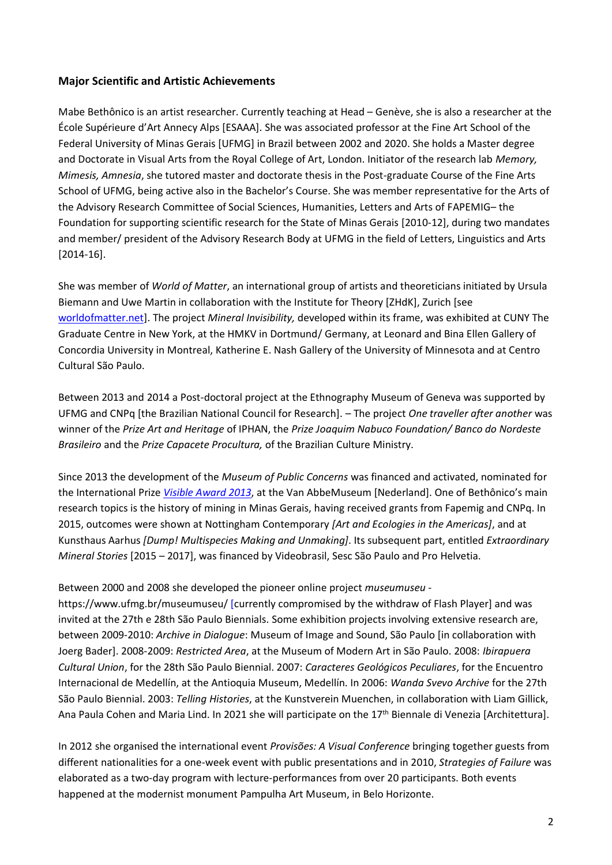### <span id="page-1-0"></span>**Major Scientific and Artistic Achievements**

Mabe Bethônico is an artist researcher. Currently teaching at Head – Genève, she is also a researcher at the École Supérieure d'Art Annecy Alps [ESAAA]. She was associated professor at the Fine Art School of the Federal University of Minas Gerais [UFMG] in Brazil between 2002 and 2020. She holds a Master degree and Doctorate in Visual Arts from the Royal College of Art, London. Initiator of the research lab *Memory, Mimesis, Amnesia*, she tutored master and doctorate thesis in the Post-graduate Course of the Fine Arts School of UFMG, being active also in the Bachelor's Course. She was member representative for the Arts of the Advisory Research Committee of Social Sciences, Humanities, Letters and Arts of FAPEMIG– the Foundation for supporting scientific research for the State of Minas Gerais [2010-12], during two mandates and member/ president of the Advisory Research Body at UFMG in the field of Letters, Linguistics and Arts [2014-16].

She was member of *World of Matter*, an international group of artists and theoreticians initiated by Ursula Biemann and Uwe Martin in collaboration with the Institute for Theory [ZHdK], Zurich [see [worldofmatter.net\]](https://www.worldofmatter.net/). The project *Mineral Invisibility,* developed within its frame, was exhibited at CUNY The Graduate Centre in New York, at the HMKV in Dortmund/ Germany, at Leonard and Bina Ellen Gallery of Concordia University in Montreal, Katherine E. Nash Gallery of the University of Minnesota and at Centro Cultural São Paulo.

Between 2013 and 2014 a Post-doctoral project at the Ethnography Museum of Geneva was supported by UFMG and CNPq [the Brazilian National Council for Research]. – The project *One traveller after another* was winner of the *Prize Art and Heritage* of IPHAN, the *Prize Joaquim Nabuco Foundation/ Banco do Nordeste Brasileiro* and the *Prize Capacete Procultura,* of the Brazilian Culture Ministry.

Since 2013 the development of the *Museum of Public Concerns* was financed and activated, nominated for the International Prize *[Visible Award 2013](https://www.visibleproject.org/blog/project/museum-of-public-concerns/)*, at the Van AbbeMuseum [Nederland]. One of Bethônico's main research topics is the history of mining in Minas Gerais, having received grants from Fapemig and CNPq. In 2015, outcomes were shown at Nottingham Contemporary *[Art and Ecologies in the Americas]*, and at Kunsthaus Aarhus *[Dump! Multispecies Making and Unmaking]*. Its subsequent part, entitled *Extraordinary Mineral Stories* [2015 – 2017], was financed by Videobrasil, Sesc São Paulo and Pro Helvetia.

#### Between 2000 and 2008 she developed the pioneer online project *museumuseu* -

https://www.ufmg.br/museumuseu/ [currently compromised by the withdraw of Flash Player] and was invited at the 27th e 28th São Paulo Biennials. Some exhibition projects involving extensive research are, between 2009-2010: *Archive in Dialogue*: Museum of Image and Sound, São Paulo [in collaboration with Joerg Bader]. 2008-2009: *Restricted Area*, at the Museum of Modern Art in São Paulo. 2008: *Ibirapuera Cultural Union*, for the 28th São Paulo Biennial. 2007: *Caracteres Geológicos Peculiares*, for the Encuentro Internacional de Medellín, at the Antioquia Museum, Medellín. In 2006: *Wanda Svevo Archive* for the 27th São Paulo Biennial. 2003: *Telling Histories*, at the Kunstverein Muenchen, in collaboration with Liam Gillick, Ana Paula Cohen and Maria Lind. In 2021 she will participate on the 17<sup>th</sup> Biennale di Venezia [Architettura].

In 2012 she organised the international event *Provisões: A Visual Conference* bringing together guests from different nationalities for a one-week event with public presentations and in 2010, *Strategies of Failure* was elaborated as a two-day program with lecture-performances from over 20 participants. Both events happened at the modernist monument Pampulha Art Museum, in Belo Horizonte.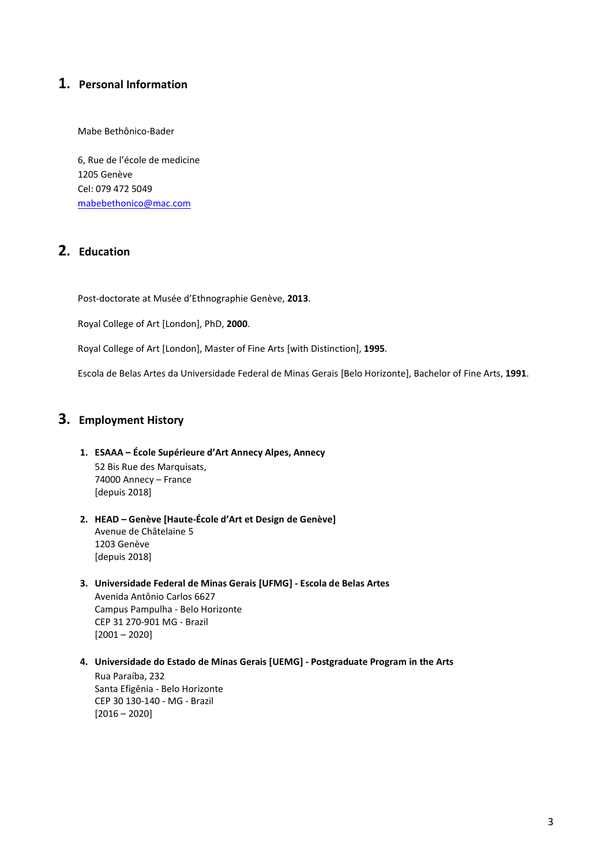## <span id="page-2-0"></span>**1. Personal Information**

Mabe Bethônico-Bader

6, Rue de l'école de medicine 1205 Genève Cel: 079 472 5049 [mabebethonico@mac.com](mailto:mabebethonico@mac.com)

## <span id="page-2-1"></span>**2. Education**

Post-doctorate at Musée d'Ethnographie Genève, **2013**.

Royal College of Art [London], PhD, **2000**.

Royal College of Art [London], Master of Fine Arts [with Distinction], **1995**.

Escola de Belas Artes da Universidade Federal de Minas Gerais [Belo Horizonte], Bachelor of Fine Arts, **1991**.

## <span id="page-2-2"></span>**3. Employment History**

#### **1. ESAAA – École Supérieure d'Art Annecy Alpes, Annecy** 52 Bis Rue des Marquisats, 74000 Annecy – France [depuis 2018]

#### **2. HEAD – Genève [Haute-École d'Art et Design de Genève]** Avenue de Châtelaine 5 1203 Genève [depuis 2018]

#### **3. Universidade Federal de Minas Gerais [UFMG] - Escola de Belas Artes** Avenida Antônio Carlos 6627 Campus Pampulha - Belo Horizonte CEP 31 270-901 MG - Brazil  $[2001 - 2020]$

**4. Universidade do Estado de Minas Gerais [UEMG] - Postgraduate Program in the Arts**  Rua Paraíba, 232 Santa Efigênia - Belo Horizonte CEP 30 130-140 - MG - Brazil  $[2016 - 2020]$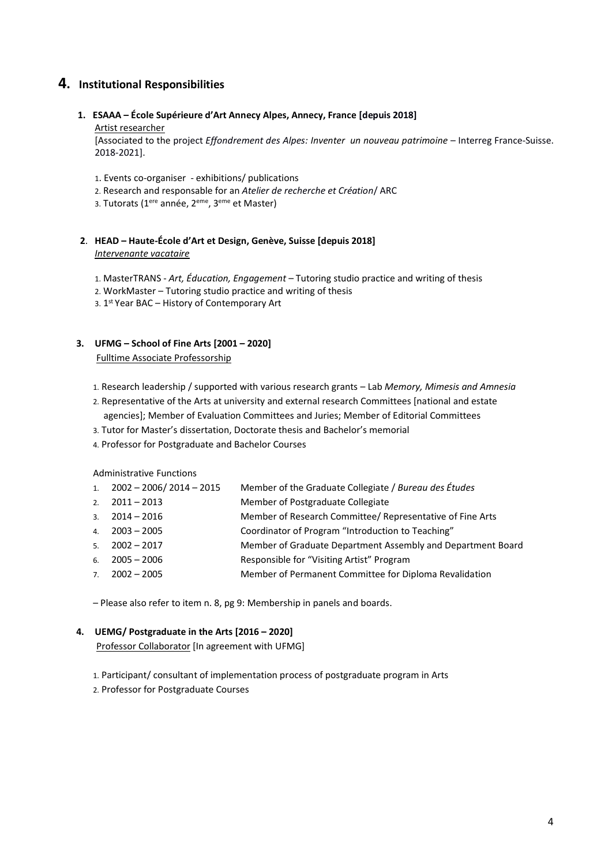## <span id="page-3-0"></span>**4. Institutional Responsibilities**

#### **1. ESAAA – École Supérieure d'Art Annecy Alpes, Annecy, France [depuis 2018]**

#### Artist researcher

[Associated to the project *Effondrement des Alpes: Inventer un nouveau patrimoine* – Interreg France-Suisse. 2018-2021].

- 1. Events co-organiser exhibitions/ publications
- 2. Research and responsable for an *Atelier de recherche et Création*/ ARC
- 3. Tutorats (1ere année, 2eme, 3eme et Master)

#### **2**. **HEAD – Haute-École d'Art et Design, Genève, Suisse [depuis 2018]** *Intervenante vacataire*

- 1. MasterTRANS *Art, Éducation, Engagement* Tutoring studio practice and writing of thesis
- 2. WorkMaster Tutoring studio practice and writing of thesis
- 3. 1<sup>st</sup> Year BAC History of Contemporary Art

## **3. UFMG – School of Fine Arts [2001 – 2020]**

#### Fulltime Associate Professorship

- 1. Research leadership / supported with various research grants Lab *Memory, Mimesis and Amnesia*
- 2. Representative of the Arts at university and external research Committees [national and estate agencies]; Member of Evaluation Committees and Juries; Member of Editorial Committees
- 3. Tutor for Master's dissertation, Doctorate thesis and Bachelor's memorial
- 4. Professor for Postgraduate and Bachelor Courses

Administrative Functions

| 1. $2002 - 2006 / 2014 - 2015$ | Member of the Graduate Collegiate / Bureau des Études       |
|--------------------------------|-------------------------------------------------------------|
| 2. $2011 - 2013$               | Member of Postgraduate Collegiate                           |
| $3. \quad 2014 - 2016$         | Member of Research Committee/ Representative of Fine Arts   |
| 4. $2003 - 2005$               | Coordinator of Program "Introduction to Teaching"           |
| $5. \quad 2002 - 2017$         | Member of Graduate Department Assembly and Department Board |
| $6. \quad 2005 - 2006$         | Responsible for "Visiting Artist" Program                   |
| $7. \quad 2002 - 2005$         | Member of Permanent Committee for Diploma Revalidation      |
|                                |                                                             |

– Please also refer to item n. 8, pg 9: Membership in panels and boards.

#### **4. UEMG/ Postgraduate in the Arts [2016 – 2020]**

Professor Collaborator [In agreement with UFMG]

1. Participant/ consultant of implementation process of postgraduate program in Arts

2. Professor for Postgraduate Courses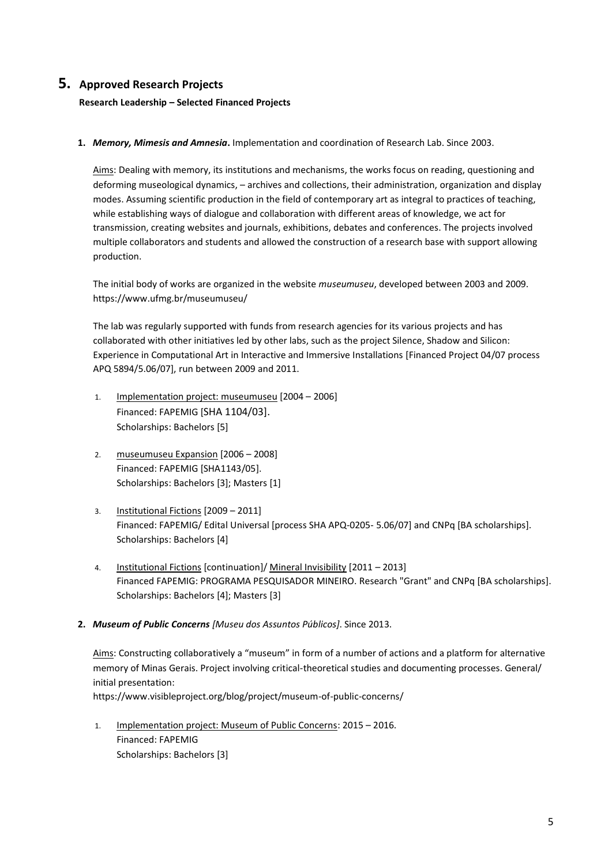## <span id="page-4-0"></span>**5. Approved Research Projects**

**Research Leadership – Selected Financed Projects**

**1.** *Memory, Mimesis and Amnesia***.** Implementation and coordination of Research Lab. Since 2003.

Aims: Dealing with memory, its institutions and mechanisms, the works focus on reading, questioning and deforming museological dynamics, – archives and collections, their administration, organization and display modes. Assuming scientific production in the field of contemporary art as integral to practices of teaching, while establishing ways of dialogue and collaboration with different areas of knowledge, we act for transmission, creating websites and journals, exhibitions, debates and conferences. The projects involved multiple collaborators and students and allowed the construction of a research base with support allowing production.

The initial body of works are organized in the website *museumuseu*, developed between 2003 and 2009. https://www.ufmg.br/museumuseu/

The lab was regularly supported with funds from research agencies for its various projects and has collaborated with other initiatives led by other labs, such as the project Silence, Shadow and Silicon: Experience in Computational Art in Interactive and Immersive Installations [Financed Project 04/07 process APQ 5894/5.06/07], run between 2009 and 2011.

- 1. Implementation project: museumuseu [2004 2006] Financed: FAPEMIG [SHA 1104/03]. Scholarships: Bachelors [5]
- 2. museumuseu Expansion [2006 2008] Financed: FAPEMIG [SHA1143/05]. Scholarships: Bachelors [3]; Masters [1]
- 3. Institutional Fictions [2009 2011] Financed: FAPEMIG/ Edital Universal [process SHA APQ-0205- 5.06/07] and CNPq [BA scholarships]. Scholarships: Bachelors [4]
- 4. Institutional Fictions [continuation]/ Mineral Invisibility [2011 2013] Financed FAPEMIG: PROGRAMA PESQUISADOR MINEIRO. Research "Grant" and CNPq [BA scholarships]. Scholarships: Bachelors [4]; Masters [3]
- **2.** *Museum of Public Concerns [Museu dos Assuntos Públicos]*. Since 2013.

Aims: Constructing collaboratively a "museum" in form of a number of actions and a platform for alternative memory of Minas Gerais. Project involving critical-theoretical studies and documenting processes. General/ initial presentation: https://www.visibleproject.org/blog/project/museum-of-public-concerns/

1. Implementation project: Museum of Public Concerns: 2015 – 2016. Financed: FAPEMIG Scholarships: Bachelors [3]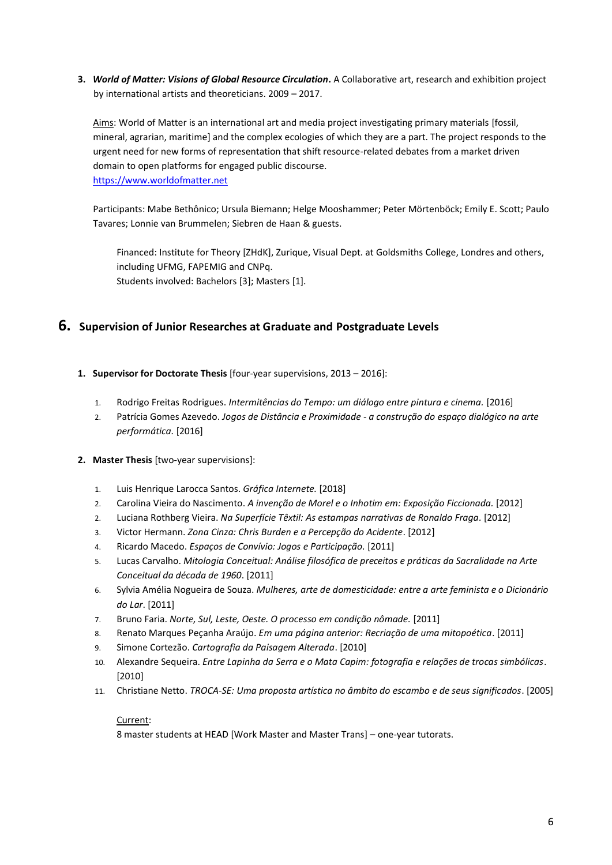**3.** *World of Matter: Visions of Global Resource Circulation***.** A Collaborative art, research and exhibition project by international artists and theoreticians. 2009 – 2017.

Aims: World of Matter is an international art and media project investigating primary materials [fossil, mineral, agrarian, maritime] and the complex ecologies of which they are a part. The project responds to the urgent need for new forms of representation that shift resource-related debates from a market driven domain to open platforms for engaged public discourse. [https://www.worldofmatter.net](https://www.worldofmatter.net/)

Participants: Mabe Bethônico; Ursula Biemann; Helge Mooshammer; Peter Mörtenböck; Emily E. Scott; Paulo Tavares; Lonnie van Brummelen; Siebren de Haan & guests.

Financed: Institute for Theory [ZHdK], Zurique, Visual Dept. at Goldsmiths College, Londres and others, including UFMG, FAPEMIG and CNPq. Students involved: Bachelors [3]; Masters [1].

### <span id="page-5-0"></span>**6. Supervision of Junior Researches at Graduate and Postgraduate Levels**

- **1. Supervisor for Doctorate Thesis** [four-year supervisions, 2013 2016]:
	- 1. Rodrigo Freitas Rodrigues. *Intermitências do Tempo: um diálogo entre pintura e cinema.* [2016]
	- 2. Patrícia Gomes Azevedo. *Jogos de Distância e Proximidade - a construção do espaço dialógico na arte performática.* [2016]

#### **2. Master Thesis** [two-year supervisions]:

- 1. Luis Henrique Larocca Santos. *Gráfica Internete.* [2018]
- 2. Carolina Vieira do Nascimento. *A invenção de Morel e o Inhotim em: Exposição Ficcionada.* [2012]
- 2. Luciana Rothberg Vieira. *Na Superfície Têxtil: As estampas narrativas de Ronaldo Fraga.* [2012]
- 3. Victor Hermann. *Zona Cinza: Chris Burden e a Percepção do Acidente*. [2012]
- 4. Ricardo Macedo. *Espaços de Convívio: Jogos e Participação.* [2011]
- 5. Lucas Carvalho. *Mitologia Conceitual: Análise filosófica de preceitos e práticas da Sacralidade na Arte Conceitual da década de 1960*. [2011]
- 6. Sylvia Amélia Nogueira de Souza. *Mulheres, arte de domesticidade: entre a arte feminista e o Dicionário do Lar*. [2011]
- 7. Bruno Faria. *Norte, Sul, Leste, Oeste. O processo em condição nômade.* [2011]
- 8. Renato Marques Peçanha Araújo. *Em uma página anterior: Recriação de uma mitopoética*. [2011]
- 9. Simone Cortezão. *Cartografia da Paisagem Alterada*. [2010]
- 10. Alexandre Sequeira. *Entre Lapinha da Serra e o Mata Capim: fotografia e relações de trocas simbólicas*. [2010]
- 11. Christiane Netto. *TROCA-SE: Uma proposta artística no âmbito do escambo e de seus significados*. [2005]

#### Current:

8 master students at HEAD [Work Master and Master Trans] – one-year tutorats.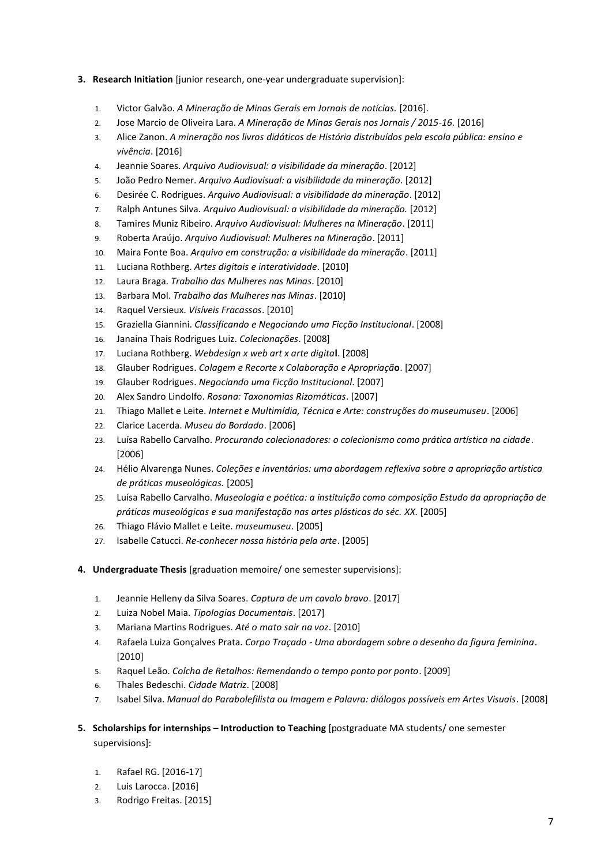- **3. Research Initiation** [junior research, one-year undergraduate supervision]:
	- 1. Victor Galvão. *A Mineração de Minas Gerais em Jornais de notícias.* [2016].
	- 2. Jose Marcio de Oliveira Lara. *A Mineração de Minas Gerais nos Jornais / 2015-16*. [2016]
	- 3. Alice Zanon. *A mineração nos livros didáticos de História distribuídos pela escola pública: ensino e vivência*. [2016]
	- 4. Jeannie Soares. *Arquivo Audiovisual: a visibilidade da mineração*. [2012]
	- 5. João Pedro Nemer. *Arquivo Audiovisual: a visibilidade da mineração*. [2012]
	- 6. Desirée C. Rodrigues. *Arquivo Audiovisual: a visibilidade da mineração*. [2012]
	- 7. Ralph Antunes Silva. *Arquivo Audiovisual: a visibilidade da mineração.* [2012]
	- 8. Tamires Muniz Ribeiro. *Arquivo Audiovisual: Mulheres na Mineração*. [2011]
	- 9. Roberta Araújo. *Arquivo Audiovisual: Mulheres na Mineração*. [2011]
	- 10. Maira Fonte Boa. *Arquivo em construção: a visibilidade da mineração*. [2011]
	- 11. Luciana Rothberg. *Artes digitais e interatividade*. [2010]
	- 12. Laura Braga. *Trabalho das Mulheres nas Minas*. [2010]
	- 13. Barbara Mol. *Trabalho das Mulheres nas Minas*. [2010]
	- 14. Raquel Versieux. *Visíveis Fracassos*. [2010]
	- 15. Graziella Giannini. *Classificando e Negociando uma Ficção Institucional*. [2008]
	- 16. Janaina Thais Rodrigues Luiz. *Colecionações*. [2008]
	- 17. Luciana Rothberg. *Webdesign x web art x arte digita***l**. [2008]
	- 18. Glauber Rodrigues. *Colagem e Recorte x Colaboração e Apropriaçã***o**. [2007]
	- 19. Glauber Rodrigues. *Negociando uma Ficção Institucional*. [2007]
	- 20. Alex Sandro Lindolfo. *Rosana: Taxonomias Rizomáticas*. [2007]
	- 21. Thiago Mallet e Leite. *Internet e Multimídia, Técnica e Arte: construções do museumuseu*. [2006]
	- 22. Clarice Lacerda. *Museu do Bordado*. [2006]
	- 23. Luísa Rabello Carvalho. *Procurando colecionadores: o colecionismo como prática artística na cidade*. [2006]
	- 24. Hélio Alvarenga Nunes. *Coleções e inventários: uma abordagem reflexiva sobre a apropriação artística de práticas museológicas.* [2005]
	- 25. Luísa Rabello Carvalho. *Museologia e poética: a instituição como composição Estudo da apropriação de práticas museológicas e sua manifestação nas artes plásticas do séc. XX.* [2005]
	- 26. Thiago Flávio Mallet e Leite. *museumuseu*. [2005]
	- 27. Isabelle Catucci. *Re-conhecer nossa história pela arte*. [2005]
- **4. Undergraduate Thesis** [graduation memoire/ one semester supervisions]:
	- 1. Jeannie Helleny da Silva Soares. *Captura de um cavalo bravo*. [2017]
	- 2. Luiza Nobel Maia. *Tipologias Documentais*. [2017]
	- 3. Mariana Martins Rodrigues. *Até o mato sair na voz*. [2010]
	- 4. Rafaela Luiza Gonçalves Prata. *Corpo Traçado - Uma abordagem sobre o desenho da figura feminina*. [2010]
	- 5. Raquel Leão. *Colcha de Retalhos: Remendando o tempo ponto por ponto*. [2009]
	- 6. Thales Bedeschi. *Cidade Matriz*. [2008]
	- 7. Isabel Silva. *Manual do Parabolefilista ou Imagem e Palavra: diálogos possíveis em Artes Visuais*. [2008]
- **5. Scholarships for internships – Introduction to Teaching** [postgraduate MA students/ one semester supervisions]:
	- 1. Rafael RG. [2016-17]
	- 2. Luis Larocca. [2016]
	- 3. Rodrigo Freitas. [2015]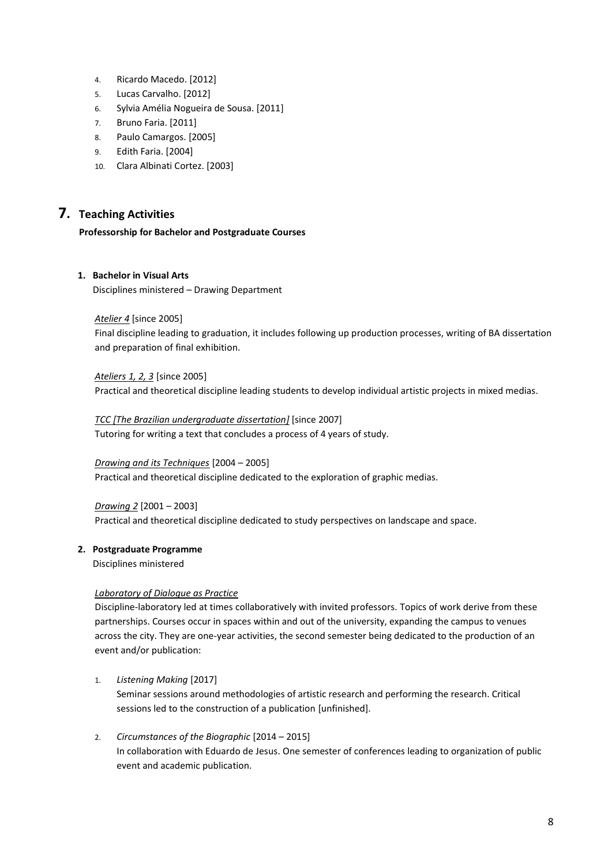- 4. Ricardo Macedo. [2012]
- 5. Lucas Carvalho. [2012]
- 6. Sylvia Amélia Nogueira de Sousa. [2011]
- 7. Bruno Faria. [2011]
- 8. Paulo Camargos. [2005]
- 9. Edith Faria. [2004]
- 10. Clara Albinati Cortez. [2003]

## <span id="page-7-0"></span>**7. Teaching Activities**

#### **Professorship for Bachelor and Postgraduate Courses**

#### **1. Bachelor in Visual Arts**

Disciplines ministered *–* Drawing Department

#### *Atelier 4* [since 2005]

Final discipline leading to graduation, it includes following up production processes, writing of BA dissertation and preparation of final exhibition.

#### *Ateliers 1, 2, 3* [since 2005]

Practical and theoretical discipline leading students to develop individual artistic projects in mixed medias.

#### *TCC [The Brazilian undergraduate dissertation]* [since 2007]

Tutoring for writing a text that concludes a process of 4 years of study.

#### *Drawing and its Techniques* [2004 – 2005]

Practical and theoretical discipline dedicated to the exploration of graphic medias.

#### *Drawing 2* [2001 – 2003]

Practical and theoretical discipline dedicated to study perspectives on landscape and space*.* 

#### **2. Postgraduate Programme**

Disciplines ministered

#### *Laboratory of Dialogue as Practice*

Discipline-laboratory led at times collaboratively with invited professors. Topics of work derive from these partnerships. Courses occur in spaces within and out of the university, expanding the campus to venues across the city. They are one-year activities, the second semester being dedicated to the production of an event and/or publication:

1. *Listening Making* [2017]

Seminar sessions around methodologies of artistic research and performing the research. Critical sessions led to the construction of a publication [unfinished].

2. *Circumstances of the Biographic* [2014 – 2015] In collaboration with Eduardo de Jesus. One semester of conferences leading to organization of public event and academic publication.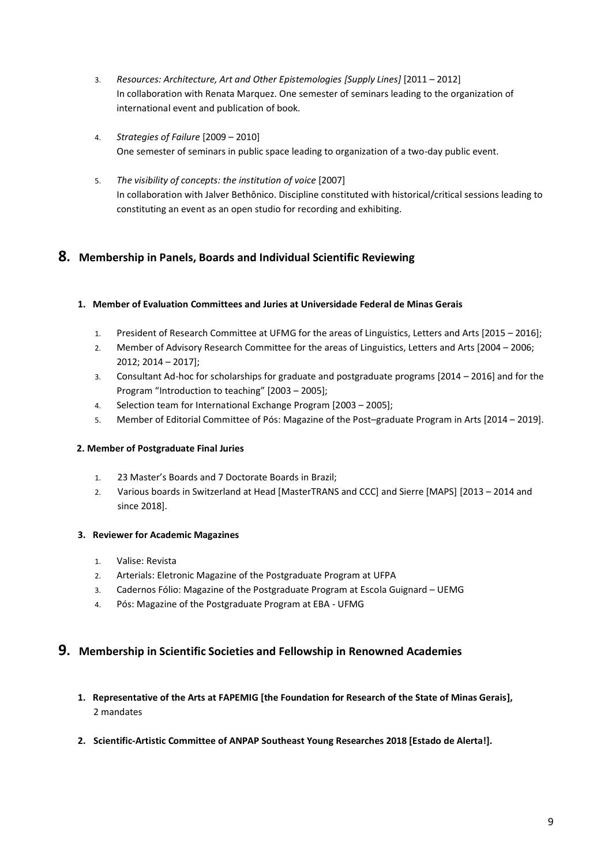- 3. *Resources: Architecture, Art and Other Epistemologies [Supply Lines]* [2011 2012] In collaboration with Renata Marquez. One semester of seminars leading to the organization of international event and publication of book.
- 4. *Strategies of Failure* [2009 2010] One semester of seminars in public space leading to organization of a two-day public event.
- 5. *The visibility of concepts: the institution of voice* [2007] In collaboration with Jalver Bethônico. Discipline constituted with historical/critical sessions leading to constituting an event as an open studio for recording and exhibiting.

## <span id="page-8-0"></span>**8. Membership in Panels, Boards and Individual Scientific Reviewing**

#### **1. Member of Evaluation Committees and Juries at Universidade Federal de Minas Gerais**

- 1. President of Research Committee at UFMG for the areas of Linguistics, Letters and Arts [2015 2016];
- 2. Member of Advisory Research Committee for the areas of Linguistics, Letters and Arts [2004 2006; 2012; 2014 – 2017];
- 3. Consultant Ad-hoc for scholarships for graduate and postgraduate programs [2014 2016] and for the Program "Introduction to teaching" [2003 – 2005];
- 4. Selection team for International Exchange Program [2003 2005];
- 5. Member of Editorial Committee of Pós: Magazine of the Post–graduate Program in Arts [2014 2019].

#### **2. Member of Postgraduate Final Juries**

- 1. 23 Master's Boards and 7 Doctorate Boards in Brazil;
- 2. Various boards in Switzerland at Head [MasterTRANS and CCC] and Sierre [MAPS] [2013 2014 and since 2018].

#### **3. Reviewer for Academic Magazines**

- 1. Valise: Revista
- 2. Arterials: Eletronic Magazine of the Postgraduate Program at UFPA
- 3. Cadernos Fólio: Magazine of the Postgraduate Program at Escola Guignard UEMG
- 4. Pós: Magazine of the Postgraduate Program at EBA UFMG

## <span id="page-8-1"></span>**9. Membership in Scientific Societies and Fellowship in Renowned Academies**

- **1. Representative of the Arts at FAPEMIG [the Foundation for Research of the State of Minas Gerais],** 2 mandates
- **2. Scientific-Artistic Committee of ANPAP Southeast Young Researches 2018 [Estado de Alerta!].**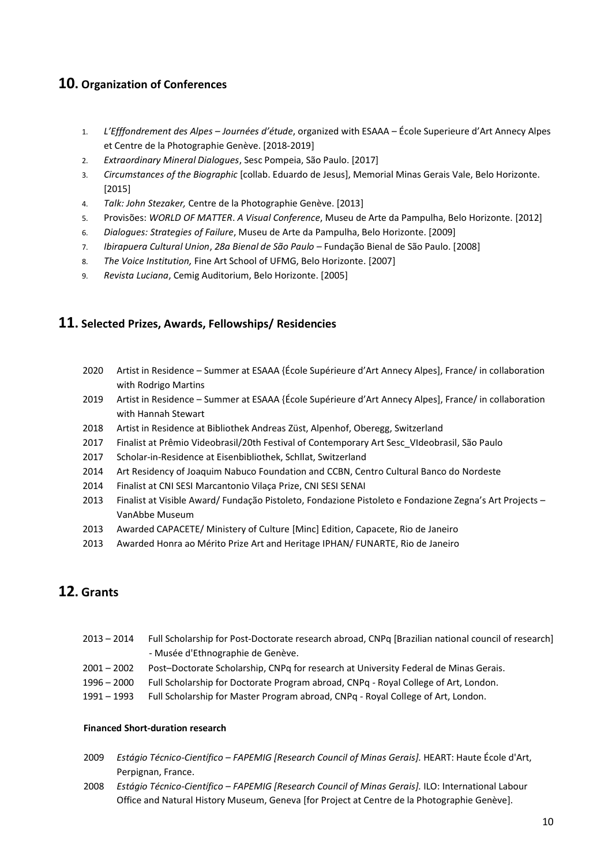## <span id="page-9-0"></span>**10. Organization of Conferences**

- 1. *L'Efffondrement des Alpes – Journées d'étude*, organized with ESAAA École Superieure d'Art Annecy Alpes et Centre de la Photographie Genève. [2018-2019]
- 2. *Extraordinary Mineral Dialogues*, Sesc Pompeia, São Paulo. [2017]
- 3. *Circumstances of the Biographic* [collab. Eduardo de Jesus], Memorial Minas Gerais Vale, Belo Horizonte. [2015]
- 4. *Talk: John Stezaker,* Centre de la Photographie Genève. [2013]
- 5. Provisões: *WORLD OF MATTER*. *A Visual Conference*, Museu de Arte da Pampulha, Belo Horizonte. [2012]
- 6. *Dialogues: Strategies of Failure*, Museu de Arte da Pampulha, Belo Horizonte. [2009]
- 7. *Ibirapuera Cultural Union*, *28a Bienal de São Paulo –* Fundação Bienal de São Paulo. [2008]
- 8. *The Voice Institution,* Fine Art School of UFMG, Belo Horizonte. [2007]
- 9. *Revista Luciana*, Cemig Auditorium, Belo Horizonte. [2005]

## <span id="page-9-1"></span>**11. Selected Prizes, Awards, Fellowships/ Residencies**

- 2020 Artist in Residence Summer at ESAAA {École Supérieure d'Art Annecy Alpes], France/ in collaboration with Rodrigo Martins
- 2019 Artist in Residence Summer at ESAAA {École Supérieure d'Art Annecy Alpes], France/ in collaboration with Hannah Stewart
- 2018 Artist in Residence at Bibliothek Andreas Züst, Alpenhof, Oberegg, Switzerland
- 2017 Finalist at Prêmio Videobrasil/20th Festival of Contemporary Art Sesc\_VIdeobrasil, São Paulo
- 2017 Scholar-in-Residence at Eisenbibliothek, Schllat, Switzerland
- 2014 Art Residency of Joaquim Nabuco Foundation and CCBN, Centro Cultural Banco do Nordeste
- 2014 Finalist at CNI SESI Marcantonio Vilaça Prize, CNI SESI SENAI
- 2013 Finalist at Visible Award/ Fundação Pistoleto, Fondazione Pistoleto e Fondazione Zegna's Art Projects VanAbbe Museum
- 2013 Awarded CAPACETE/ Ministery of Culture [Minc] Edition, Capacete, Rio de Janeiro
- 2013 Awarded Honra ao Mérito Prize Art and Heritage IPHAN/ FUNARTE, Rio de Janeiro

## <span id="page-9-2"></span>**12. Grants**

- 2013 2014 Full Scholarship for Post-Doctorate research abroad, CNPq [Brazilian national council of research] - Musée d'Ethnographie de Genève.
- 2001 2002 Post–Doctorate Scholarship, CNPq for research at University Federal de Minas Gerais.
- 1996 2000 Full Scholarship for Doctorate Program abroad, CNPq Royal College of Art, London.
- 1991 1993 Full Scholarship for Master Program abroad, CNPq Royal College of Art, London.

#### **Financed Short-duration research**

- 2009 *Estágio Técnico-Científico – FAPEMIG [Research Council of Minas Gerais].* HEART: Haute École d'Art, Perpignan, France.
- 2008 *Estágio Técnico-Científico – FAPEMIG [Research Council of Minas Gerais].* ILO: International Labour Office and Natural History Museum, Geneva [for Project at Centre de la Photographie Genève].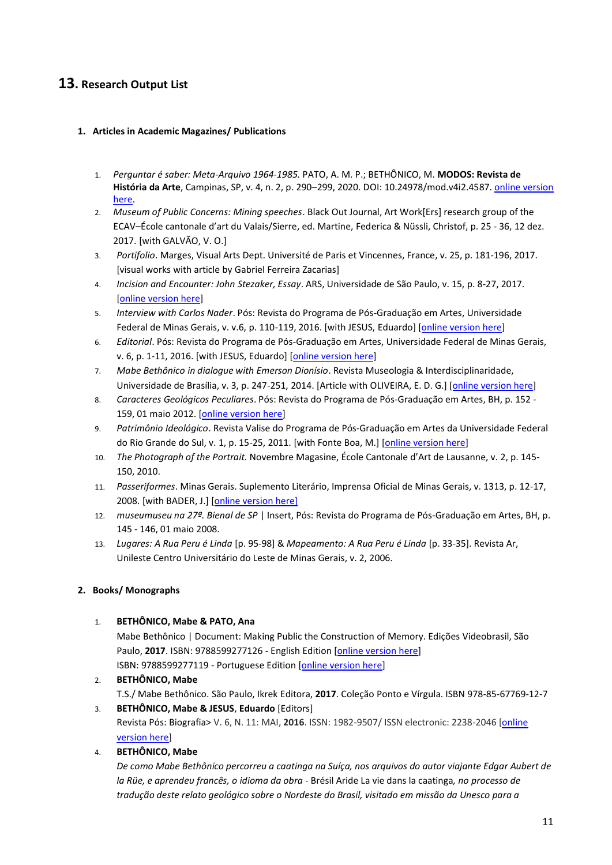## <span id="page-10-0"></span>**13. Research Output List**

#### <span id="page-10-1"></span>**1. Articles in Academic Magazines/ Publications**

- 1. *Perguntar é saber: Meta-Arquivo 1964-1985.* PATO, A. M. P.; BETHÔNICO, M. **MODOS: Revista de História da Arte**, Campinas, SP, v. 4, n. 2, p. 290–299, 2020. DOI: 10.24978/mod.v4i2.4587. [online version](https://periodicos.sbu.unicamp.br/ojs/index.php/mod/article/view/8662832)  [here.](https://periodicos.sbu.unicamp.br/ojs/index.php/mod/article/view/8662832)
- 2. *Museum of Public Concerns: Mining speeches*. Black Out Journal, Art Work[Ers] research group of the ECAV–École cantonale d'art du Valais/Sierre, ed. Martine, Federica & Nüssli, Christof, p. 25 - 36, 12 dez. 2017. [with GALVÃO, V. O.]
- 3. *Portifolio*. Marges, Visual Arts Dept. Université de Paris et Vincennes, France, v. 25, p. 181-196, 2017. [visual works with article by Gabriel Ferreira Zacarias]
- 4. *Incision and Encounter: John Stezaker, Essay*. ARS, Universidade de São Paulo, v. 15, p. 8-27, 2017. [\[online version here\]](http://www.revistas.usp.br/ars/issue/view/9698/958)
- 5. *Interview with Carlos Nader*. Pós: Revista do Programa de Pós-Graduação em Artes, Universidade Federal de Minas Gerais, v. v.6, p. 110-119, 2016. [with JESUS, Eduardo] [\[online version here\]](https://www.eba.ufmg.br/revistapos/index.php/pos/article/view/411)
- 6. *Editorial*. Pós: Revista do Programa de Pós-Graduação em Artes, Universidade Federal de Minas Gerais, v. 6, p. 1-11, 2016. [with JESUS, Eduardo] [\[online version here\]](https://www.eba.ufmg.br/revistapos/index.php/pos/article/view/426/185)
- 7. *Mabe Bethônico in dialogue with Emerson Dionísio*. Revista Museologia & Interdisciplinaridade, Universidade de Brasília, v. 3, p. 247-251, 2014. [Article with OLIVEIRA, E. D. G.] [\[online version here\]](http://periodicos.unb.br/index.php/museologia/article/view/15483)
- 8. *Caracteres Geológicos Peculiares*. Pós: Revista do Programa de Pós-Graduação em Artes, BH, p. 152 159, 01 maio 2012. [\[online version here\]](https://www.eba.ufmg.br/revistapos/index.php/pos/article/view/43/43)
- 9. *Patrimônio Ideológico*. Revista Valise do Programa de Pós-Graduação em Artes da Universidade Federal do Rio Grande do Sul, v. 1, p. 15-25, 2011. [with Fonte Boa, M.] [\[online version here\]](https://seer.ufrgs.br/RevistaValise/article/view/23318)
- 10. *The Photograph of the Portrait.* Novembre Magasine, École Cantonale d'Art de Lausanne, v. 2, p. 145- 150, 2010.
- 11. *Passeriformes*. Minas Gerais. Suplemento Literário, Imprensa Oficial de Minas Gerais, v. 1313, p. 12-17, 2008. [with BADER, J.] [\[online version here\]](http://www.bibliotecapublica.mg.gov.br/index.php/pt-br/suplemento-litelario/edicoes-suplemento-literarios/2008-1/68--68)
- 12. *museumuseu na 27ª. Bienal de SP* | Insert, Pós: Revista do Programa de Pós-Graduação em Artes, BH, p. 145 - 146, 01 maio 2008.
- 13. *Lugares: A Rua Peru é Linda* [p. 95-98] & *Mapeamento: A Rua Peru é Linda* [p. 33-35]. Revista Ar, Unileste Centro Universitário do Leste de Minas Gerais, v. 2, 2006.

### <span id="page-10-2"></span>**2. Books/ Monographs**

1. **BETHÔNICO, Mabe & PATO, Ana**

Mabe Bethônico | Document: Making Public the Construction of Memory. Edições Videobrasil, São Paulo, **2017**. ISBN: 9788599277126 - English Edition [\[online version here\]](http://site.videobrasil.org.br/publicacoes/teoricos/mabebethonico) ISBN: 9788599277119 - Portuguese Edition [\[online version here\]](http://site.videobrasil.org.br/uploads/201812/20181207_190223_MabeBethonico_Documentos_Videobrasil_PT.pdf)

2. **BETHÔNICO, Mabe** T.S./ Mabe Bethônico. São Paulo, Ikrek Editora, **2017**. Coleção Ponto e Vírgula. ISBN 978-85-67769-12-7

3. **BETHÔNICO, Mabe & JESUS**, **Eduardo** [Editors] Revista Pós: Biografia> V. 6, N. 11: MAI, **2016**. ISSN: 1982-9507/ ISSN electronic: 2238-2046 [\[online](https://www.eba.ufmg.br/revistapos/index.php/pos/issue/view/12/showToc)  [version here\]](https://www.eba.ufmg.br/revistapos/index.php/pos/issue/view/12/showToc)

4. **BETHÔNICO, Mabe**

*De como Mabe Bethônico percorreu a caatinga na Suíça, nos arquivos do autor viajante Edgar Aubert de la Rüe, e aprendeu francês, o idioma da obra -* Brésil Aride La vie dans la caatinga*, no processo de tradução deste relato geológico sobre o Nordeste do Brasil, visitado em missão da Unesco para a*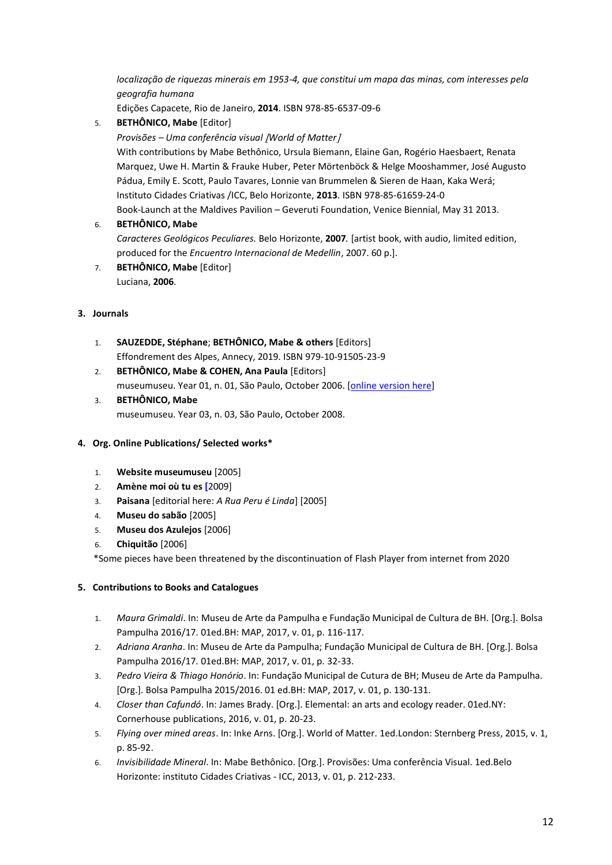*localização de riquezas minerais em 1953-4, que constitui um mapa das minas, com interesses pela geografia humana*

Edições Capacete, Rio de Janeiro, **2014**. ISBN 978-85-6537-09-6

5. **BETHÔNICO, Mabe** [Editor]

#### *Provisões – Uma conferência visual World of Matter*

With contributions by Mabe Bethônico, Ursula Biemann, Elaine Gan, Rogério Haesbaert, Renata Marquez, Uwe H. Martin & Frauke Huber, Peter Mörtenböck & Helge Mooshammer, José Augusto Pádua, Emily E. Scott, Paulo Tavares, Lonnie van Brummelen & Sieren de Haan, Kaka Werá; Instituto Cidades Criativas /ICC, Belo Horizonte, **2013**. ISBN 978-85-61659-24-0 Book-Launch at the Maldives Pavilion – Geveruti Foundation, Venice Biennial, May 31 2013.

#### 6. **BETHÔNICO, Mabe**

*Caracteres Geológicos Peculiares.* Belo Horizonte, **2007***.* [artist book, with audio, limited edition, produced for the *Encuentro Internacional de Medellin*, 2007. 60 p.].

7. **BETHÔNICO, Mabe** [Editor] Luciana, **2006**.

#### <span id="page-11-0"></span>**3. Journals**

- 1. **SAUZEDDE, Stéphane**; **BETHÔNICO, Mabe & others** [Editors] Effondrement des Alpes, Annecy, 2019. ISBN 979-10-91505-23-9
- 2. **BETHÔNICO, Mabe & COHEN, Ana Paula** [Editors] museumuseu. Year 01, n. 01, São Paulo, October 2006. [\[online version here\]](https://www.ufmg.br/museumuseu/bienal/jornal/museumuseu.pdf)
- 3. **BETHÔNICO, Mabe**  museumuseu. Year 03, n. 03, São Paulo, October 2008.

#### <span id="page-11-1"></span>**4. Org. Online Publications/ Selected works\***

- 1. **Website museumuseu** [2005]
- 2. **Amène moi où tu es [**2009]
- 3. **Paisana** [editorial here: *A Rua Peru é Linda*] [2005]
- 4. **Museu do sabão** [2005]
- 5. **Museu dos Azulejos** [2006]
- 6. **Chiquitão** [2006]

\*Some pieces have been threatened by the discontinuation of Flash Player from internet from 2020

### <span id="page-11-2"></span>**5. Contributions to Books and Catalogues**

- 1. *Maura Grimaldi*. In: Museu de Arte da Pampulha e Fundação Municipal de Cultura de BH. [Org.]. Bolsa Pampulha 2016/17. 01ed.BH: MAP, 2017, v. 01, p. 116-117.
- 2. *Adriana Aranha*. In: Museu de Arte da Pampulha; Fundação Municipal de Cultura de BH. [Org.]. Bolsa Pampulha 2016/17. 01ed.BH: MAP, 2017, v. 01, p. 32-33.
- 3. *Pedro Vieira & Thiago Honório*. In: Fundação Municipal de Cutura de BH; Museu de Arte da Pampulha. [Org.]. Bolsa Pampulha 2015/2016. 01 ed.BH: MAP, 2017, v. 01, p. 130-131.
- 4. *Closer than Cafundó*. In: James Brady. [Org.]. Elemental: an arts and ecology reader. 01ed.NY: Cornerhouse publications, 2016, v. 01, p. 20-23.
- 5. *Flying over mined areas*. In: Inke Arns. [Org.]. World of Matter. 1ed.London: Sternberg Press, 2015, v. 1, p. 85-92.
- 6. *Invisibilidade Mineral*. In: Mabe Bethônico. [Org.]. Provisões: Uma conferência Visual. 1ed.Belo Horizonte: instituto Cidades Criativas - ICC, 2013, v. 01, p. 212-233.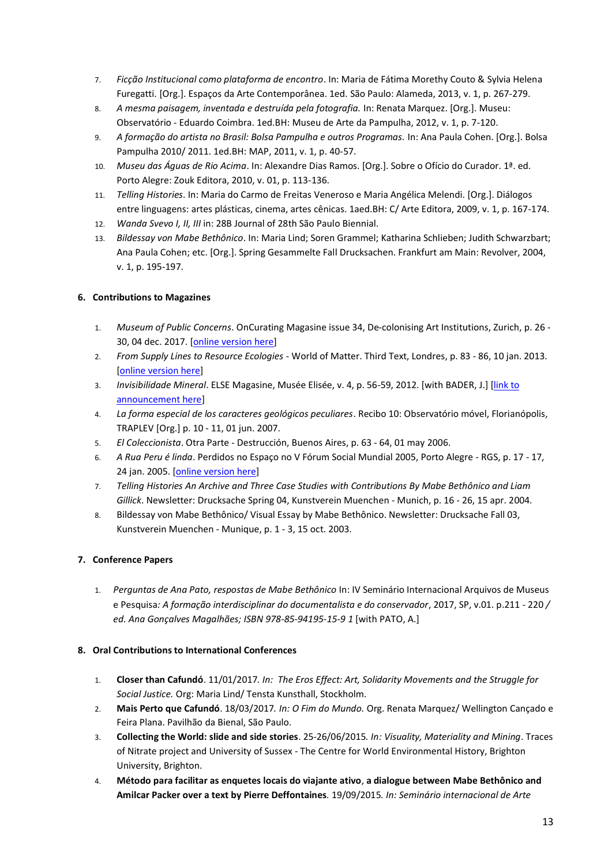- 7. *Ficção Institucional como plataforma de encontro*. In: Maria de Fátima Morethy Couto & Sylvia Helena Furegatti. [Org.]. Espaços da Arte Contemporânea. 1ed. São Paulo: Alameda, 2013, v. 1, p. 267-279.
- 8. *A mesma paisagem, inventada e destruída pela fotografia.* In: Renata Marquez. [Org.]. Museu: Observatório - Eduardo Coimbra. 1ed.BH: Museu de Arte da Pampulha, 2012, v. 1, p. 7-120.
- 9. *A formação do artista no Brasil: Bolsa Pampulha e outros Programas.* In: Ana Paula Cohen. [Org.]. Bolsa Pampulha 2010/ 2011. 1ed.BH: MAP, 2011, v. 1, p. 40-57.
- 10. *Museu das Águas de Rio Acima*. In: Alexandre Dias Ramos. [Org.]. Sobre o Ofício do Curador. 1ª. ed. Porto Alegre: Zouk Editora, 2010, v. 01, p. 113-136.
- 11. *Telling Histories*. In: Maria do Carmo de Freitas Veneroso e Maria Angélica Melendi. [Org.]. Diálogos entre linguagens: artes plásticas, cinema, artes cênicas. 1aed.BH: C/ Arte Editora, 2009, v. 1, p. 167-174.
- 12. *Wanda Svevo I, II, III* in: 28B Journal of 28th São Paulo Biennial.
- 13. *Bildessay von Mabe Bethônico*. In: Maria Lind; Soren Grammel; Katharina Schlieben; Judith Schwarzbart; Ana Paula Cohen; etc. [Org.]. Spring Gesammelte Fall Drucksachen. Frankfurt am Main: Revolver, 2004, v. 1, p. 195-197.

### <span id="page-12-0"></span>**6. Contributions to Magazines**

- 1. *Museum of Public Concerns*. OnCurating Magasine issue 34, De-colonising Art Institutions, Zurich, p. 26 30, 04 dec. 2017. [\[online version here\]](http://www.on-curating.org/files/oc/dateiverwaltung/issue-35/PDF_to_Download/Oncurating_Issue34.pdf)
- 2. *From Supply Lines to Resource Ecologies* World of Matter. Third Text, Londres, p. 83 86, 10 jan. 2013. [\[online version here\]](https://cpb-us-e1.wpmucdn.com/sites.ucsc.edu/dist/0/196/files/2015/09/Third-Text-120-.pdf)
- 3. *Invisibilidade Mineral*. ELSE Magasine, Musée Elisée, v. 4, p. 56-59, 2012. [with BADER, J.] [\[link to](https://www.shop.elysee.ch/shop/else-4?category=Magazine%20Else)  [announcement here\]](https://www.shop.elysee.ch/shop/else-4?category=Magazine%20Else)
- 4. *La forma especial de los caracteres geológicos peculiares*. Recibo 10: Observatório móvel, Florianópolis, TRAPLEV [Org.] p. 10 - 11, 01 jun. 2007.
- 5. *El Coleccionista*. Otra Parte Destrucción, Buenos Aires, p. 63 64, 01 may 2006.
- 6. *A Rua Peru é linda*. Perdidos no Espaço no V Fórum Social Mundial 2005, Porto Alegre RGS, p. 17 17, 24 jan. 2005. [\[online version here\]](http://www.ufrgs.br/escultura/fsm2005/textos/mabe.htm)
- 7. *Telling Histories An Archive and Three Case Studies with Contributions By Mabe Bethônico and Liam Gillick*. Newsletter: Drucksache Spring 04, Kunstverein Muenchen - Munich, p. 16 - 26, 15 apr. 2004.
- 8. Bildessay von Mabe Bethônico/ Visual Essay by Mabe Bethônico. Newsletter: Drucksache Fall 03, Kunstverein Muenchen - Munique, p. 1 - 3, 15 oct. 2003.

### <span id="page-12-1"></span>**7. Conference Papers**

1. *Perguntas de Ana Pato, respostas de Mabe Bethônico* In: IV Seminário Internacional Arquivos de Museus e Pesquisa*: A formação interdisciplinar do documentalista e do conservador*, 2017, SP, v.01. p.211 - 220 */ ed. Ana Gonçalves Magalhães; ISBN 978-85-94195-15-9 1* [with PATO, A.]

#### <span id="page-12-2"></span>**8. Oral Contributions to International Conferences**

- 1. **Closer than Cafundó**. 11/01/2017*. In: The Eros Effect: Art, Solidarity Movements and the Struggle for Social Justice.* Org: Maria Lind/ Tensta Kunsthall, Stockholm.
- 2. **Mais Perto que Cafundó**. 18/03/2017*. In: O Fim do Mundo.* Org. Renata Marquez/ Wellington Cançado e Feira Plana. Pavilhão da Bienal, São Paulo.
- 3. **Collecting the World: slide and side stories**. 25-26/06/2015*. In: Visuality, Materiality and Mining*. Traces of Nitrate project and University of Sussex - The Centre for World Environmental History, Brighton University, Brighton.
- 4. **Método para facilitar as enquetes locais do viajante ativo**, **a dialogue between Mabe Bethônico and Amilcar Packer over a text by Pierre Deffontaines***.* 19/09/2015*. In: Seminário internacional de Arte*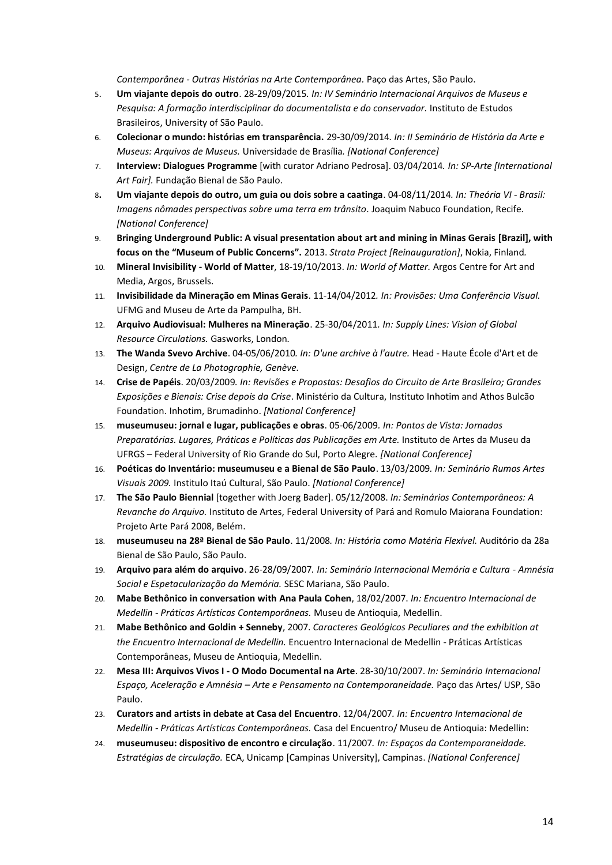*Contemporânea - Outras Histórias na Arte Contemporânea.* Paço das Artes, São Paulo.

- 5. **Um viajante depois do outro**. 28-29/09/2015*. In: IV Seminário Internacional Arquivos de Museus e Pesquisa: A formação interdisciplinar do documentalista e do conservador.* Instituto de Estudos Brasileiros, University of São Paulo.
- 6. **Colecionar o mundo: histórias em transparência.** 29-30/09/2014*. In: II Seminário de História da Arte e Museus: Arquivos de Museus.* Universidade de Brasília*. [National Conference]*
- 7. **Interview: Dialogues Programme** [with curator Adriano Pedrosa]. 03/04/2014*. In: SP-Arte [International Art Fair].* Fundação Bienal de São Paulo.
- 8**. Um viajante depois do outro, um guia ou dois sobre a caatinga**. 04-08/11/2014*. In: Theória VI - Brasil: Imagens nômades perspectivas sobre uma terra em trânsito.* Joaquim Nabuco Foundation, Recife*. [National Conference]*
- 9. **Bringing Underground Public: A visual presentation about art and mining in Minas Gerais [Brazil], with focus on the "Museum of Public Concerns".** 2013. *Strata Project [Reinauguration]*, Nokia, Finland*.*
- 10. **Mineral Invisibility - World of Matter**, 18-19/10/2013. *In: World of Matter.* Argos Centre for Art and Media, Argos, Brussels.
- 11. **Invisibilidade da Mineração em Minas Gerais**. 11-14/04/2012*. In: Provisões: Uma Conferência Visual.* UFMG and Museu de Arte da Pampulha, BH*.*
- 12. **Arquivo Audiovisual: Mulheres na Mineração**. 25-30/04/2011*. In: Supply Lines: Vision of Global Resource Circulations.* Gasworks, London*.*
- 13. **The Wanda Svevo Archive**. 04-05/06/2010*. In: D'une archive à l'autre.* Head Haute École d'Art et de Design, *Centre de La Photographie, Genève.*
- 14. **Crise de Papéis**. 20/03/2009*. In: Revisões e Propostas: Desafios do Circuito de Arte Brasileiro; Grandes Exposições e Bienais: Crise depois da Crise*. Ministério da Cultura, Instituto Inhotim and Athos Bulcão Foundation. Inhotim, Brumadinho. *[National Conference]*
- 15. **museumuseu: jornal e lugar, publicações e obras**. 05-06/2009*. In: Pontos de Vista: Jornadas Preparatórias. Lugares, Práticas e Políticas das Publicações em Arte.* Instituto de Artes da Museu da UFRGS – Federal University of Rio Grande do Sul, Porto Alegre*. [National Conference]*
- 16. **Poéticas do Inventário: museumuseu e a Bienal de São Paulo**. 13/03/2009*. In: Seminário Rumos Artes Visuais 2009.* Institulo Itaú Cultural, São Paulo. *[National Conference]*
- 17. **The São Paulo Biennial** [together with Joerg Bader]. 05/12/2008. *In: Seminários Contemporâneos: A Revanche do Arquivo.* Instituto de Artes, Federal University of Pará and Romulo Maiorana Foundation: Projeto Arte Pará 2008, Belém.
- 18. **museumuseu na 28ª Bienal de São Paulo**. 11/2008*. In: História como Matéria Flexível.* Auditório da 28a Bienal de São Paulo, São Paulo.
- 19. **Arquivo para além do arquivo**. 26-28/09/2007*. In: Seminário Internacional Memória e Cultura - Amnésia Social e Espetacularização da Memória.* SESC Mariana, São Paulo.
- 20. **Mabe Bethônico in conversation with Ana Paula Cohen**, 18/02/2007. *In: Encuentro Internacional de Medellin - Práticas Artísticas Contemporâneas.* Museu de Antioquia, Medellin.
- 21. **Mabe Bethônico and Goldin + Senneby**, 2007. *Caracteres Geológicos Peculiares and the exhibition at the Encuentro Internacional de Medellin.* Encuentro Internacional de Medellin - Práticas Artísticas Contemporâneas, Museu de Antioquia, Medellin.
- 22. **Mesa III: Arquivos Vivos I - O Modo Documental na Arte**. 28-30/10/2007. *In: Seminário Internacional Espaço, Aceleração e Amnésia – Arte e Pensamento na Contemporaneidade.* Paço das Artes/ USP, São Paulo.
- 23. **Curators and artists in debate at Casa del Encuentro**. 12/04/2007*. In: Encuentro Internacional de Medellin - Práticas Artísticas Contemporâneas.* Casa del Encuentro/ Museu de Antioquia: Medellin:
- <span id="page-13-0"></span>24. **museumuseu: dispositivo de encontro e circulação**. 11/2007*. In: Espaços da Contemporaneidade. Estratégias de circulação.* ECA, Unicamp [Campinas University], Campinas. *[National Conference]*